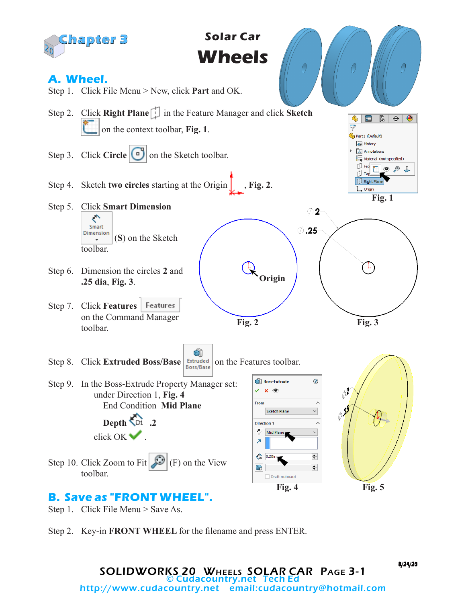

Step 2. Key-in **FRONT WHEEL** for the filename and press ENTER.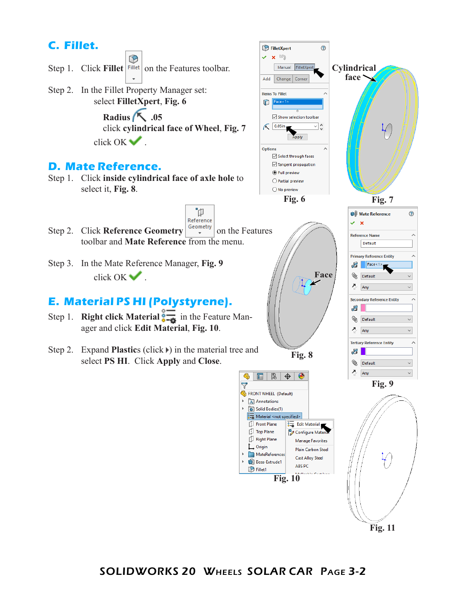

**Fig. 11**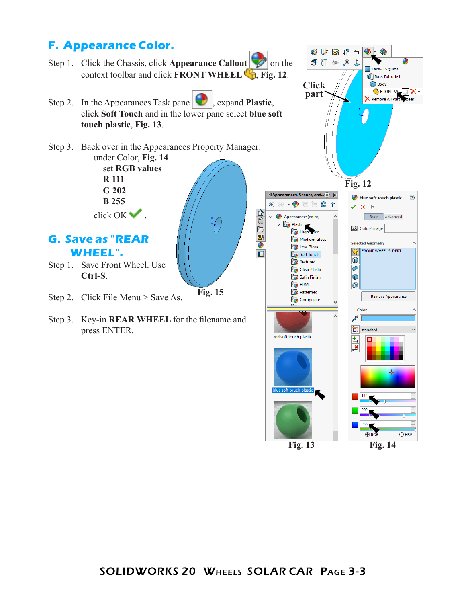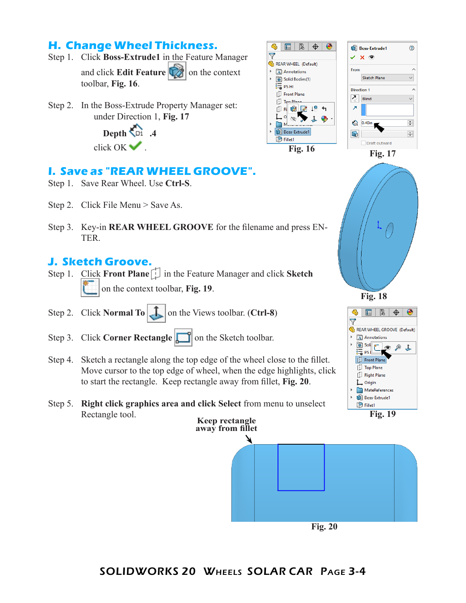## **H. Change Wheel Thickness.**

- Step 1. Click **Boss-Extrude1** in the Feature Manager and click **Edit Feature C** on the context toolbar, **Fig. 16**.
- Step 2. In the Boss-Extrude Property Manager set: under Direction 1, **Fig. 17**

 **Depth .4** click OK .

## **I. Save as "REAR WHEEL GROOVE".**

- Step 1. Save Rear Wheel. Use **Ctrl-S**.
- Step 2. Click File Menu > Save As.
- Step 3. Key-in **REAR WHEEL GROOVE** for the filename and press EN-TER.

## **J. Sketch Groove.**

- Step 1. Click **Front Plane in the Feature Manager and click Sketch** on the context toolbar, **Fig. 19**.
- Step 2. Click **Normal To**  $\begin{bmatrix} \mathbf{I} \end{bmatrix}$  on the Views toolbar. (**Ctrl-8**)
- Step 3. Click **Corner Rectangle on** the Sketch toolbar.
- Step 4. Sketch a rectangle along the top edge of the wheel close to the fillet. Move cursor to the top edge of wheel, when the edge highlights, click to start the rectangle. Keep rectangle away from fillet, **Fig. 20**.
- Step 5. **Right click graphics area and click Select** from menu to unselect Rectangle tool.







 $\mathfrak{B}$ 

 $\mathbf{E} \parallel \mathbf{E} \parallel \mathbf{\Theta} \parallel \mathbf{0}$ 

REAR WHEEL (Default)

A Annotations





SOLIDWORKS 20 Wheels SOLAR CAR Page 3-4